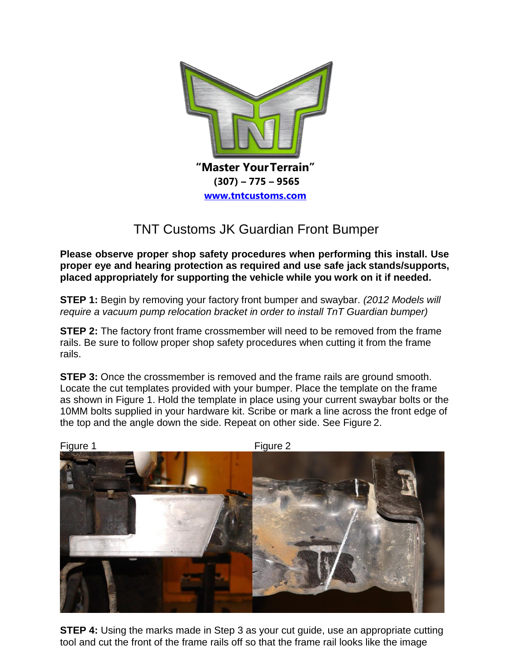

## TNT Customs JK Guardian Front Bumper

**Please observe proper shop safety procedures when performing this install. Use proper eye and hearing protection as required and use safe jack stands/supports, placed appropriately for supporting the vehicle while you work on it if needed.**

**STEP 1:** Begin by removing your factory front bumper and swaybar. *(2012 Models will require a vacuum pump relocation bracket in order to install TnT Guardian bumper)*

**STEP 2:** The factory front frame crossmember will need to be removed from the frame rails. Be sure to follow proper shop safety procedures when cutting it from the frame rails.

**STEP 3:** Once the crossmember is removed and the frame rails are ground smooth. Locate the cut templates provided with your bumper. Place the template on the frame as shown in Figure 1. Hold the template in place using your current swaybar bolts or the 10MM bolts supplied in your hardware kit. Scribe or mark a line across the front edge of the top and the angle down the side. Repeat on other side. See Figure 2.



**STEP 4:** Using the marks made in Step 3 as your cut guide, use an appropriate cutting tool and cut the front of the frame rails off so that the frame rail looks like the image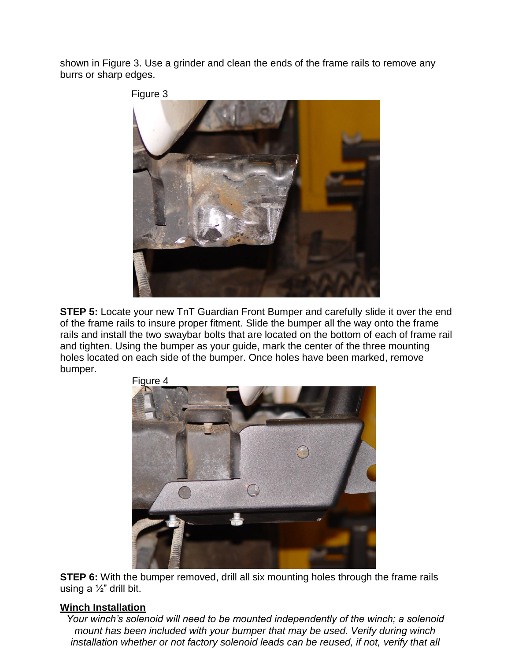shown in Figure 3. Use a grinder and clean the ends of the frame rails to remove any burrs or sharp edges.



**STEP 5:** Locate your new TnT Guardian Front Bumper and carefully slide it over the end of the frame rails to insure proper fitment. Slide the bumper all the way onto the frame rails and install the two swaybar bolts that are located on the bottom of each of frame rail and tighten. Using the bumper as your guide, mark the center of the three mounting holes located on each side of the bumper. Once holes have been marked, remove bumper.



**STEP 6:** With the bumper removed, drill all six mounting holes through the frame rails using a ½" drill bit.

## **Winch Installation**

*Your winch's solenoid will need to be mounted independently of the winch; a solenoid mount has been included with your bumper that may be used. Verify during winch installation whether or not factory solenoid leads can be reused, if not, verify that all* 

Figure 4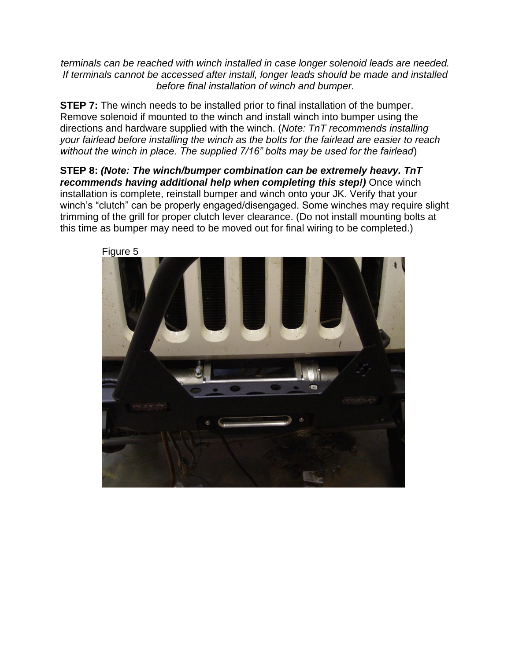*terminals can be reached with winch installed in case longer solenoid leads are needed. If terminals cannot be accessed after install, longer leads should be made and installed before final installation of winch and bumper.*

**STEP 7:** The winch needs to be installed prior to final installation of the bumper. Remove solenoid if mounted to the winch and install winch into bumper using the directions and hardware supplied with the winch. (*Note: TnT recommends installing your fairlead before installing the winch as the bolts for the fairlead are easier to reach without the winch in place. The supplied 7/16" bolts may be used for the fairlead*)

**STEP 8:** *(Note: The winch/bumper combination can be extremely heavy. TnT*  recommends having additional help when completing this step!) Once winch installation is complete, reinstall bumper and winch onto your JK. Verify that your winch's "clutch" can be properly engaged/disengaged. Some winches may require slight trimming of the grill for proper clutch lever clearance. (Do not install mounting bolts at this time as bumper may need to be moved out for final wiring to be completed.)



Figure 5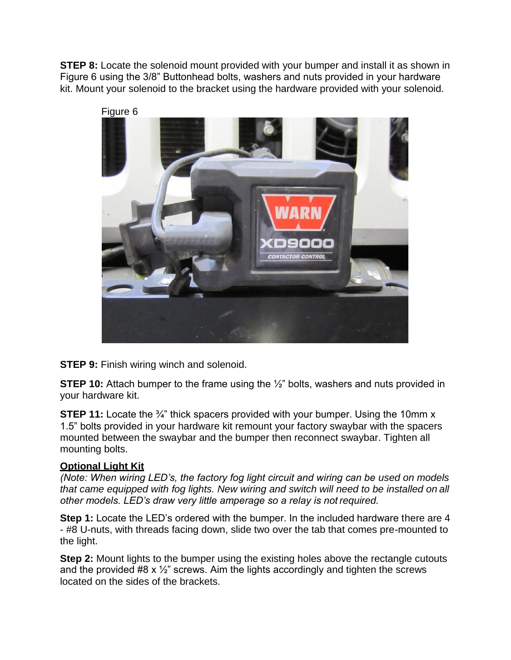**STEP 8:** Locate the solenoid mount provided with your bumper and install it as shown in Figure 6 using the 3/8" Buttonhead bolts, washers and nuts provided in your hardware kit. Mount your solenoid to the bracket using the hardware provided with your solenoid.



**STEP 9: Finish wiring winch and solenoid.** 

**STEP 10:** Attach bumper to the frame using the  $\frac{1}{2}$ " bolts, washers and nuts provided in your hardware kit.

**STEP 11:** Locate the <sup>3</sup>/<sub>4</sub><sup>"</sup> thick spacers provided with your bumper. Using the 10mm x 1.5" bolts provided in your hardware kit remount your factory swaybar with the spacers mounted between the swaybar and the bumper then reconnect swaybar. Tighten all mounting bolts.

## **Optional Light Kit**

*(Note: When wiring LED's, the factory fog light circuit and wiring can be used on models that came equipped with fog lights. New wiring and switch will need to be installed on all other models. LED's draw very little amperage so a relay is not required.*

**Step 1:** Locate the LED's ordered with the bumper. In the included hardware there are 4 - #8 U-nuts, with threads facing down, slide two over the tab that comes pre-mounted to the light.

**Step 2:** Mount lights to the bumper using the existing holes above the rectangle cutouts and the provided #8 x ½" screws. Aim the lights accordingly and tighten the screws located on the sides of the brackets.